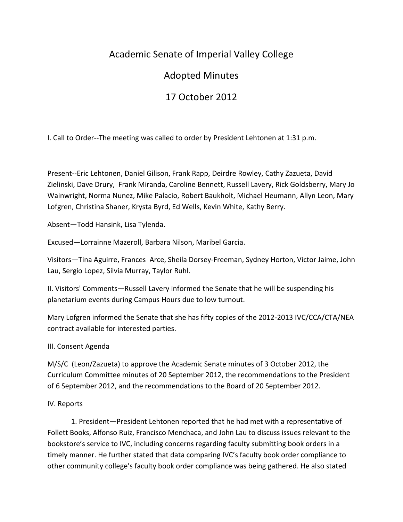## Academic Senate of Imperial Valley College

## Adopted Minutes

# 17 October 2012

I. Call to Order--The meeting was called to order by President Lehtonen at 1:31 p.m.

Present--Eric Lehtonen, Daniel Gilison, Frank Rapp, Deirdre Rowley, Cathy Zazueta, David Zielinski, Dave Drury, Frank Miranda, Caroline Bennett, Russell Lavery, Rick Goldsberry, Mary Jo Wainwright, Norma Nunez, Mike Palacio, Robert Baukholt, Michael Heumann, Allyn Leon, Mary Lofgren, Christina Shaner, Krysta Byrd, Ed Wells, Kevin White, Kathy Berry.

Absent—Todd Hansink, Lisa Tylenda.

Excused—Lorrainne Mazeroll, Barbara Nilson, Maribel Garcia.

Visitors—Tina Aguirre, Frances Arce, Sheila Dorsey-Freeman, Sydney Horton, Victor Jaime, John Lau, Sergio Lopez, Silvia Murray, Taylor Ruhl.

II. Visitors' Comments—Russell Lavery informed the Senate that he will be suspending his planetarium events during Campus Hours due to low turnout.

Mary Lofgren informed the Senate that she has fifty copies of the 2012-2013 IVC/CCA/CTA/NEA contract available for interested parties.

### III. Consent Agenda

M/S/C (Leon/Zazueta) to approve the Academic Senate minutes of 3 October 2012, the Curriculum Committee minutes of 20 September 2012, the recommendations to the President of 6 September 2012, and the recommendations to the Board of 20 September 2012.

#### IV. Reports

1. President—President Lehtonen reported that he had met with a representative of Follett Books, Alfonso Ruiz, Francisco Menchaca, and John Lau to discuss issues relevant to the bookstore's service to IVC, including concerns regarding faculty submitting book orders in a timely manner. He further stated that data comparing IVC's faculty book order compliance to other community college's faculty book order compliance was being gathered. He also stated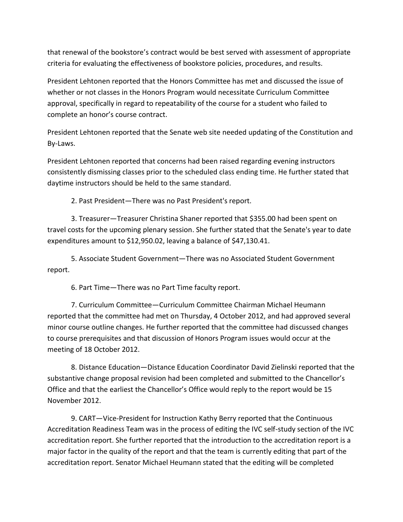that renewal of the bookstore's contract would be best served with assessment of appropriate criteria for evaluating the effectiveness of bookstore policies, procedures, and results.

President Lehtonen reported that the Honors Committee has met and discussed the issue of whether or not classes in the Honors Program would necessitate Curriculum Committee approval, specifically in regard to repeatability of the course for a student who failed to complete an honor's course contract.

President Lehtonen reported that the Senate web site needed updating of the Constitution and By-Laws.

President Lehtonen reported that concerns had been raised regarding evening instructors consistently dismissing classes prior to the scheduled class ending time. He further stated that daytime instructors should be held to the same standard.

2. Past President—There was no Past President's report.

3. Treasurer—Treasurer Christina Shaner reported that \$355.00 had been spent on travel costs for the upcoming plenary session. She further stated that the Senate's year to date expenditures amount to \$12,950.02, leaving a balance of \$47,130.41.

5. Associate Student Government—There was no Associated Student Government report.

6. Part Time—There was no Part Time faculty report.

7. Curriculum Committee—Curriculum Committee Chairman Michael Heumann reported that the committee had met on Thursday, 4 October 2012, and had approved several minor course outline changes. He further reported that the committee had discussed changes to course prerequisites and that discussion of Honors Program issues would occur at the meeting of 18 October 2012.

8. Distance Education—Distance Education Coordinator David Zielinski reported that the substantive change proposal revision had been completed and submitted to the Chancellor's Office and that the earliest the Chancellor's Office would reply to the report would be 15 November 2012.

9. CART—Vice-President for Instruction Kathy Berry reported that the Continuous Accreditation Readiness Team was in the process of editing the IVC self-study section of the IVC accreditation report. She further reported that the introduction to the accreditation report is a major factor in the quality of the report and that the team is currently editing that part of the accreditation report. Senator Michael Heumann stated that the editing will be completed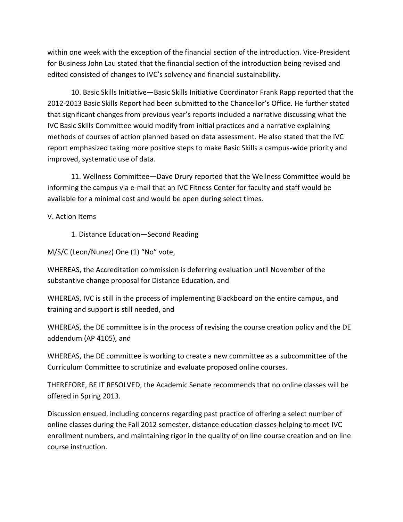within one week with the exception of the financial section of the introduction. Vice-President for Business John Lau stated that the financial section of the introduction being revised and edited consisted of changes to IVC's solvency and financial sustainability.

10. Basic Skills Initiative—Basic Skills Initiative Coordinator Frank Rapp reported that the 2012-2013 Basic Skills Report had been submitted to the Chancellor's Office. He further stated that significant changes from previous year's reports included a narrative discussing what the IVC Basic Skills Committee would modify from initial practices and a narrative explaining methods of courses of action planned based on data assessment. He also stated that the IVC report emphasized taking more positive steps to make Basic Skills a campus-wide priority and improved, systematic use of data.

11. Wellness Committee—Dave Drury reported that the Wellness Committee would be informing the campus via e-mail that an IVC Fitness Center for faculty and staff would be available for a minimal cost and would be open during select times.

V. Action Items

1. Distance Education—Second Reading

M/S/C (Leon/Nunez) One (1) "No" vote,

WHEREAS, the Accreditation commission is deferring evaluation until November of the substantive change proposal for Distance Education, and

WHEREAS, IVC is still in the process of implementing Blackboard on the entire campus, and training and support is still needed, and

WHEREAS, the DE committee is in the process of revising the course creation policy and the DE addendum (AP 4105), and

WHEREAS, the DE committee is working to create a new committee as a subcommittee of the Curriculum Committee to scrutinize and evaluate proposed online courses.

THEREFORE, BE IT RESOLVED, the Academic Senate recommends that no online classes will be offered in Spring 2013.

Discussion ensued, including concerns regarding past practice of offering a select number of online classes during the Fall 2012 semester, distance education classes helping to meet IVC enrollment numbers, and maintaining rigor in the quality of on line course creation and on line course instruction.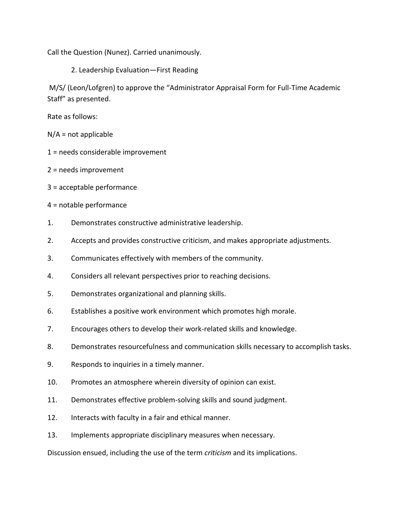Call the Question (Nunez). Carried unanimously.

2. Leadership Evaluation—First Reading

M/S/ (Leon/Lofgren) to approve the "Administrator Appraisal Form for Full-Time Academic Staff" as presented.

Rate as follows:

 $N/A$  = not applicable

- 1 = needs considerable improvement
- 2 = needs improvement
- 3 = acceptable performance
- 4 = notable performance
- 1. Demonstrates constructive administrative leadership.
- 2. Accepts and provides constructive criticism, and makes appropriate adjustments.
- 3. Communicates effectively with members of the community.
- 4. Considers all relevant perspectives prior to reaching decisions.
- 5. Demonstrates organizational and planning skills.
- 6. Establishes a positive work environment which promotes high morale.
- 7. Encourages others to develop their work-related skills and knowledge.
- 8. Demonstrates resourcefulness and communication skills necessary to accomplish tasks.
- 9. Responds to inquiries in a timely manner.
- 10. Promotes an atmosphere wherein diversity of opinion can exist.
- 11. Demonstrates effective problem-solving skills and sound judgment.
- 12. Interacts with faculty in a fair and ethical manner.
- 13. Implements appropriate disciplinary measures when necessary.

Discussion ensued, including the use of the term *criticism* and its implications.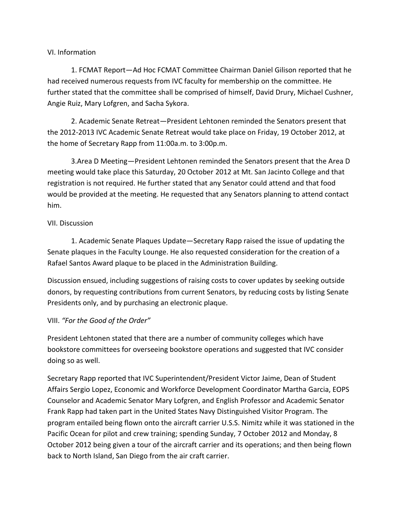#### VI. Information

1. FCMAT Report—Ad Hoc FCMAT Committee Chairman Daniel Gilison reported that he had received numerous requests from IVC faculty for membership on the committee. He further stated that the committee shall be comprised of himself, David Drury, Michael Cushner, Angie Ruiz, Mary Lofgren, and Sacha Sykora.

2. Academic Senate Retreat—President Lehtonen reminded the Senators present that the 2012-2013 IVC Academic Senate Retreat would take place on Friday, 19 October 2012, at the home of Secretary Rapp from 11:00a.m. to 3:00p.m.

3.Area D Meeting—President Lehtonen reminded the Senators present that the Area D meeting would take place this Saturday, 20 October 2012 at Mt. San Jacinto College and that registration is not required. He further stated that any Senator could attend and that food would be provided at the meeting. He requested that any Senators planning to attend contact him.

#### VII. Discussion

1. Academic Senate Plaques Update—Secretary Rapp raised the issue of updating the Senate plaques in the Faculty Lounge. He also requested consideration for the creation of a Rafael Santos Award plaque to be placed in the Administration Building.

Discussion ensued, including suggestions of raising costs to cover updates by seeking outside donors, by requesting contributions from current Senators, by reducing costs by listing Senate Presidents only, and by purchasing an electronic plaque.

#### VIII. *"For the Good of the Order"*

President Lehtonen stated that there are a number of community colleges which have bookstore committees for overseeing bookstore operations and suggested that IVC consider doing so as well.

Secretary Rapp reported that IVC Superintendent/President Victor Jaime, Dean of Student Affairs Sergio Lopez, Economic and Workforce Development Coordinator Martha Garcia, EOPS Counselor and Academic Senator Mary Lofgren, and English Professor and Academic Senator Frank Rapp had taken part in the United States Navy Distinguished Visitor Program. The program entailed being flown onto the aircraft carrier U.S.S. Nimitz while it was stationed in the Pacific Ocean for pilot and crew training; spending Sunday, 7 October 2012 and Monday, 8 October 2012 being given a tour of the aircraft carrier and its operations; and then being flown back to North Island, San Diego from the air craft carrier.